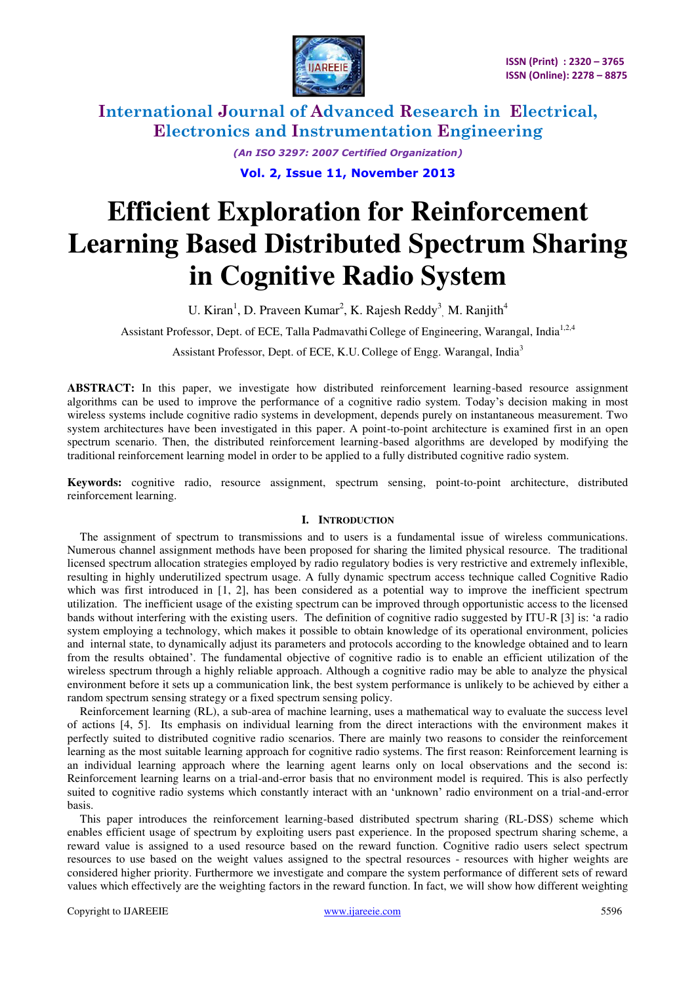

> *(An ISO 3297: 2007 Certified Organization)*  **Vol. 2, Issue 11, November 2013**

# **Efficient Exploration for Reinforcement Learning Based Distributed Spectrum Sharing in Cognitive Radio System**

U. Kiran<sup>1</sup>, D. Praveen Kumar<sup>2</sup>, K. Rajesh Reddy<sup>3</sup>, M. Ranjith<sup>4</sup>

Assistant Professor, Dept. of ECE, Talla Padmavathi College of Engineering, Warangal, India<sup>1,2,4</sup>

Assistant Professor, Dept. of ECE, K.U. College of Engg. Warangal, India<sup>3</sup>

**ABSTRACT:** In this paper, we investigate how distributed reinforcement learning-based resource assignment algorithms can be used to improve the performance of a cognitive radio system. Today's decision making in most wireless systems include cognitive radio systems in development, depends purely on instantaneous measurement. Two system architectures have been investigated in this paper. A point-to-point architecture is examined first in an open spectrum scenario. Then, the distributed reinforcement learning-based algorithms are developed by modifying the traditional reinforcement learning model in order to be applied to a fully distributed cognitive radio system.

**Keywords:** cognitive radio, resource assignment, spectrum sensing, point-to-point architecture, distributed reinforcement learning.

#### **I. INTRODUCTION**

The assignment of spectrum to transmissions and to users is a fundamental issue of wireless communications. Numerous channel assignment methods have been proposed for sharing the limited physical resource. The traditional licensed spectrum allocation strategies employed by radio regulatory bodies is very restrictive and extremely inflexible, resulting in highly underutilized spectrum usage. A fully dynamic spectrum access technique called Cognitive Radio which was first introduced in [1, 2], has been considered as a potential way to improve the inefficient spectrum utilization. The inefficient usage of the existing spectrum can be improved through opportunistic access to the licensed bands without interfering with the existing users. The definition of cognitive radio suggested by ITU-R [3] is: 'a radio system employing a technology, which makes it possible to obtain knowledge of its operational environment, policies and internal state, to dynamically adjust its parameters and protocols according to the knowledge obtained and to learn from the results obtained'. The fundamental objective of cognitive radio is to enable an efficient utilization of the wireless spectrum through a highly reliable approach. Although a cognitive radio may be able to analyze the physical environment before it sets up a communication link, the best system performance is unlikely to be achieved by either a random spectrum sensing strategy or a fixed spectrum sensing policy.

Reinforcement learning (RL), a sub-area of machine learning, uses a mathematical way to evaluate the success level of actions [4, 5]. Its emphasis on individual learning from the direct interactions with the environment makes it perfectly suited to distributed cognitive radio scenarios. There are mainly two reasons to consider the reinforcement learning as the most suitable learning approach for cognitive radio systems. The first reason: Reinforcement learning is an individual learning approach where the learning agent learns only on local observations and the second is: Reinforcement learning learns on a trial-and-error basis that no environment model is required. This is also perfectly suited to cognitive radio systems which constantly interact with an 'unknown' radio environment on a trial-and-error basis.

This paper introduces the reinforcement learning-based distributed spectrum sharing (RL-DSS) scheme which enables efficient usage of spectrum by exploiting users past experience. In the proposed spectrum sharing scheme, a reward value is assigned to a used resource based on the reward function. Cognitive radio users select spectrum resources to use based on the weight values assigned to the spectral resources - resources with higher weights are considered higher priority. Furthermore we investigate and compare the system performance of different sets of reward values which effectively are the weighting factors in the reward function. In fact, we will show how different weighting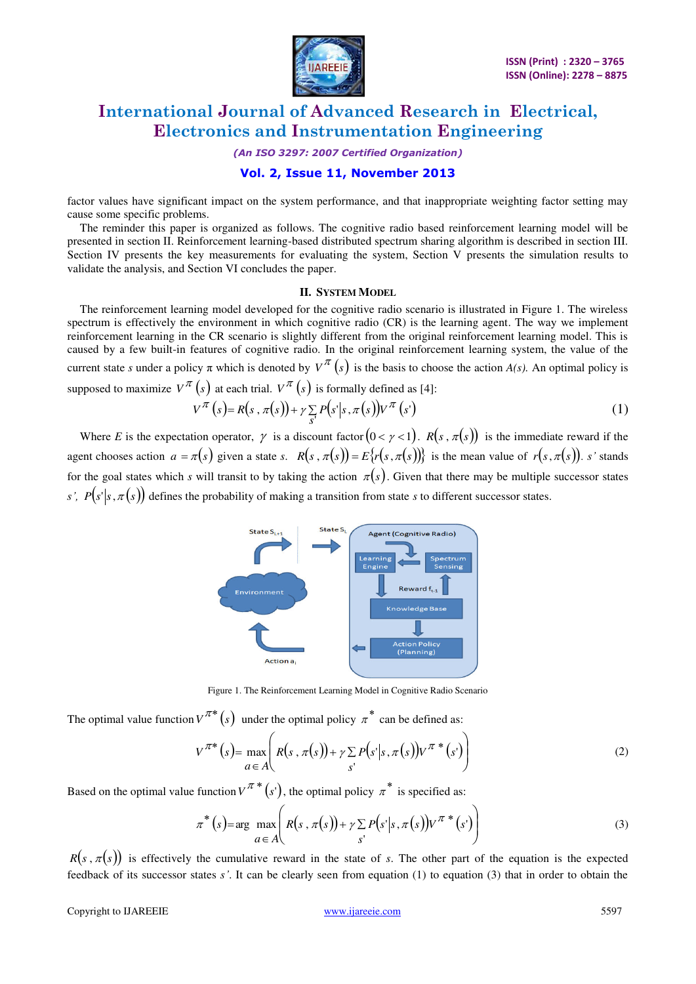

*(An ISO 3297: 2007 Certified Organization)* 

### **Vol. 2, Issue 11, November 2013**

factor values have significant impact on the system performance, and that inappropriate weighting factor setting may cause some specific problems.

The reminder this paper is organized as follows. The cognitive radio based reinforcement learning model will be presented in section II. Reinforcement learning-based distributed spectrum sharing algorithm is described in section III. Section IV presents the key measurements for evaluating the system, Section V presents the simulation results to validate the analysis, and Section VI concludes the paper.

#### **II. SYSTEM MODEL**

The reinforcement learning model developed for the cognitive radio scenario is illustrated in Figure 1. The wireless spectrum is effectively the environment in which cognitive radio (CR) is the learning agent. The way we implement reinforcement learning in the CR scenario is slightly different from the original reinforcement learning model. This is caused by a few built-in features of cognitive radio. In the original reinforcement learning system, the value of the current state *s* under a policy  $\pi$  which is denoted by  $V^{\pi}(s)$  is the basis to choose the action *A(s)*. An optimal policy is supposed to maximize  $V^{\pi}(s)$  at each trial.  $V^{\pi}(s)$  is formally defined as [4]:

$$
V^{\pi}\left(s\right) = R(s,\pi(s)) + \gamma \sum_{s'} P(s'|s,\pi(s)) V^{\pi}\left(s'\right) \tag{1}
$$

Where *E* is the expectation operator,  $\gamma$  is a discount factor  $(0 < \gamma < 1)$ .  $R(s, \pi(s))$  is the immediate reward if the agent chooses action  $a = \pi(s)$  given a state *s*.  $R(s, \pi(s)) = E\{r(s, \pi(s))\}$  is the mean value of  $r(s, \pi(s))$ . *s'* stands for the goal states which *s* will transit to by taking the action  $\pi(s)$ . Given that there may be multiple successor states *s'*,  $P(s'|s, \pi(s))$  defines the probability of making a transition from state *s* to different successor states.



Figure 1. The Reinforcement Learning Model in Cognitive Radio Scenario

The optimal value function  $V^{\pi*}(s)$  under the optimal policy  $\pi^*$  can be defined as:

$$
V^{\pi*}(s) = \max_{a \in A} \left( R(s, \pi(s)) + \gamma \sum_{s'} P(s'|s, \pi(s)) V^{\pi*}(s') \right)
$$
 (2)

Based on the optimal value function  $V^{\pi*}(s')$ , the optimal policy  $\pi^*$  is specified as:

$$
\pi^*(s) = \arg \max_{a \in A} \left( R(s, \pi(s)) + \gamma \sum_{s'} P(s'|s, \pi(s)) V^{\pi^*}(s') \right)
$$
(3)

 $R(s, \pi(s))$  is effectively the cumulative reward in the state of *s*. The other part of the equation is the expected feedback of its successor states *s'*. It can be clearly seen from equation (1) to equation (3) that in order to obtain the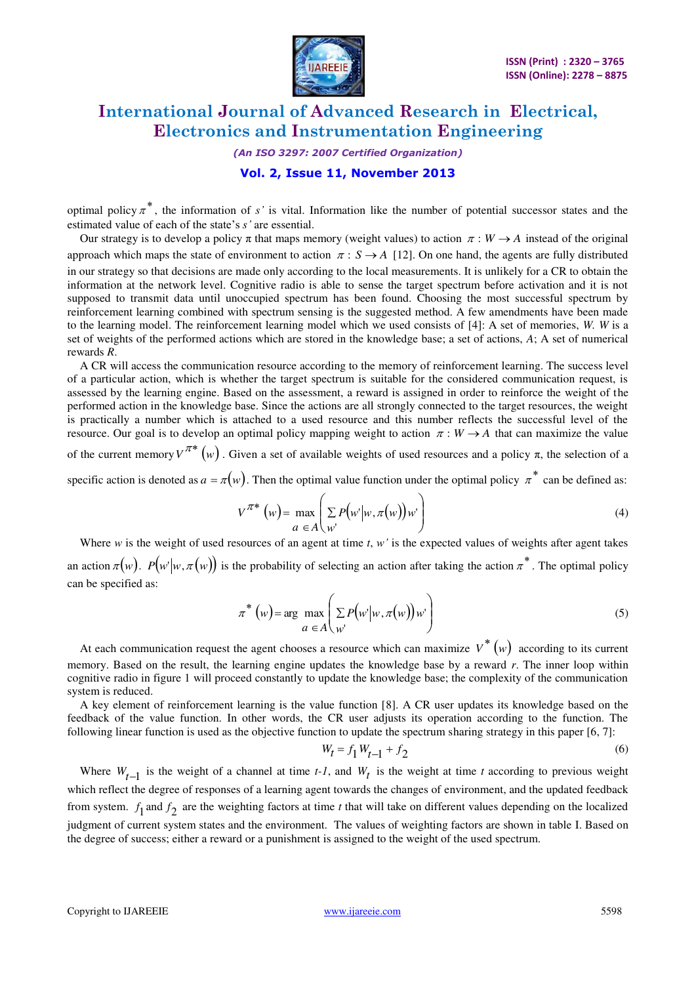

### *(An ISO 3297: 2007 Certified Organization)*

### **Vol. 2, Issue 11, November 2013**

optimal policy  $\pi^*$ , the information of *s'* is vital. Information like the number of potential successor states and the estimated value of each of the state's *s'* are essential.

Our strategy is to develop a policy  $\pi$  that maps memory (weight values) to action  $\pi : W \to A$  instead of the original approach which maps the state of environment to action  $\pi : S \to A$  [12]. On one hand, the agents are fully distributed in our strategy so that decisions are made only according to the local measurements. It is unlikely for a CR to obtain the information at the network level. Cognitive radio is able to sense the target spectrum before activation and it is not supposed to transmit data until unoccupied spectrum has been found. Choosing the most successful spectrum by reinforcement learning combined with spectrum sensing is the suggested method. A few amendments have been made to the learning model. The reinforcement learning model which we used consists of [4]: A set of memories, *W. W* is a set of weights of the performed actions which are stored in the knowledge base; a set of actions, *A*; A set of numerical rewards *R*.

A CR will access the communication resource according to the memory of reinforcement learning. The success level of a particular action, which is whether the target spectrum is suitable for the considered communication request, is assessed by the learning engine. Based on the assessment, a reward is assigned in order to reinforce the weight of the performed action in the knowledge base. Since the actions are all strongly connected to the target resources, the weight is practically a number which is attached to a used resource and this number reflects the successful level of the resource. Our goal is to develop an optimal policy mapping weight to action  $\pi : W \to A$  that can maximize the value of the current memory  $V^{\pi*}(w)$ . Given a set of available weights of used resources and a policy  $\pi$ , the selection of a

specific action is denoted as  $a = \pi(w)$ . Then the optimal value function under the optimal policy  $\pi^*$  can be defined as:

$$
V^{\pi*}(w) = \max_{a \in A} \left( \sum_{w'} P(w' | w, \pi(w)) w' \right)
$$
 (4)

Where  $w$  is the weight of used resources of an agent at time  $t$ ,  $w'$  is the expected values of weights after agent takes an action  $\pi(w)$ .  $P(w|w, \pi(w))$  is the probability of selecting an action after taking the action  $\pi^*$ . The optimal policy can be specified as:

$$
\pi^* (w) = \arg \max_{a \in A} \left( \sum_{w'} P(w' | w, \pi(w)) w' \right)
$$
 (5)

At each communication request the agent chooses a resource which can maximize  $V^*(w)$  according to its current memory. Based on the result, the learning engine updates the knowledge base by a reward *r*. The inner loop within cognitive radio in figure 1 will proceed constantly to update the knowledge base; the complexity of the communication system is reduced.

A key element of reinforcement learning is the value function [8]. A CR user updates its knowledge based on the feedback of the value function. In other words, the CR user adjusts its operation according to the function. The following linear function is used as the objective function to update the spectrum sharing strategy in this paper [6, 7]:

$$
W_t = f_1 W_{t-1} + f_2 \tag{6}
$$

Where  $W_{t-1}$  is the weight of a channel at time *t-1*, and  $W_t$  is the weight at time *t* according to previous weight which reflect the degree of responses of a learning agent towards the changes of environment, and the updated feedback from system.  $f_1$  and  $f_2$  are the weighting factors at time *t* that will take on different values depending on the localized judgment of current system states and the environment. The values of weighting factors are shown in table I. Based on the degree of success; either a reward or a punishment is assigned to the weight of the used spectrum.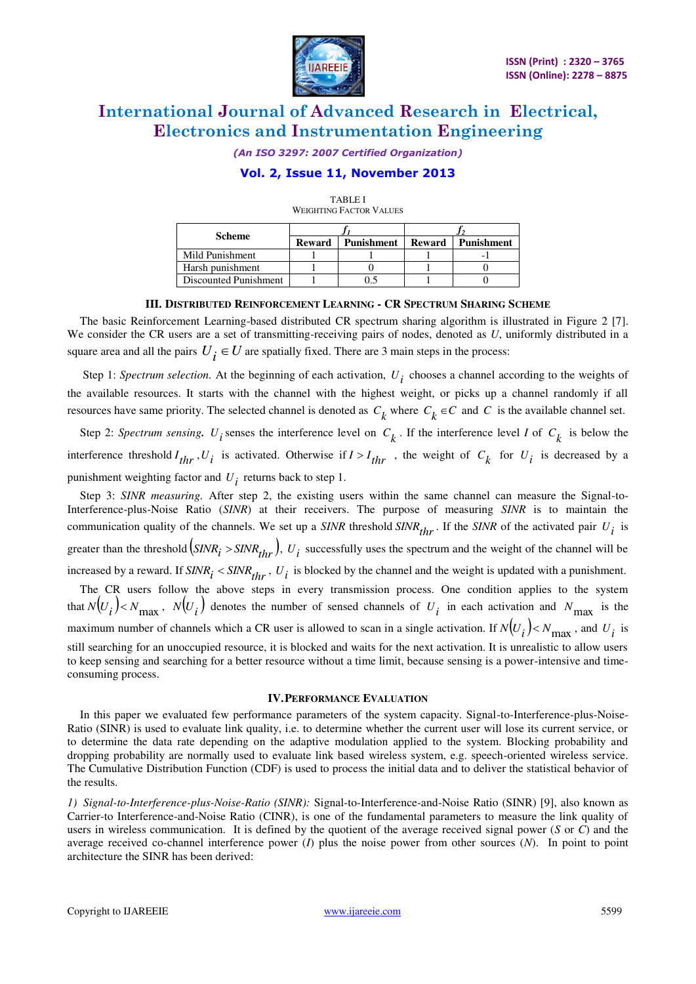

*(An ISO 3297: 2007 Certified Organization)* 

### **Vol. 2, Issue 11, November 2013**

| WERTHING PACIUM VALUES |               |                   |               |            |  |
|------------------------|---------------|-------------------|---------------|------------|--|
| <b>Scheme</b>          |               |                   |               |            |  |
|                        | <b>Reward</b> | <b>Punishment</b> | <b>Reward</b> | Punishment |  |
| Mild Punishment        |               |                   |               |            |  |
| Harsh punishment       |               |                   |               |            |  |
| Discounted Punishment  |               |                   |               |            |  |

TABLE I WEIGHTING ELGEN VALUES

### **III. DISTRIBUTED REINFORCEMENT LEARNING - CR SPECTRUM SHARING SCHEME**

The basic Reinforcement Learning-based distributed CR spectrum sharing algorithm is illustrated in Figure 2 [7]. We consider the CR users are a set of transmitting-receiving pairs of nodes, denoted as *U*, uniformly distributed in a square area and all the pairs  $U_i \in U$  are spatially fixed. There are 3 main steps in the process:

Step 1: *Spectrum selection*. At the beginning of each activation,  $U_i$  chooses a channel according to the weights of the available resources. It starts with the channel with the highest weight, or picks up a channel randomly if all resources have same priority. The selected channel is denoted as  $C_k$  where  $C_k \in C$  and *C* is the available channel set.

Step 2: *Spectrum sensing*.  $U_i$  senses the interference level on  $C_k$ . If the interference level *I* of  $C_k$  is below the interference threshold  $I_{thr}$ ,  $U_i$  is activated. Otherwise if  $I > I_{thr}$ , the weight of  $C_k$  for  $U_i$  is decreased by a punishment weighting factor and  $U_i$  returns back to step 1.

Step 3: *SINR measuring.* After step 2, the existing users within the same channel can measure the Signal-to-Interference-plus-Noise Ratio (*SINR*) at their receivers. The purpose of measuring *SINR* is to maintain the communication quality of the channels. We set up a *SINR* threshold *SINR*<sub>thr</sub>. If the *SINR* of the activated pair  $U_i$  is greater than the threshold  $(sINR_i > SINR_{thr})$ ,  $U_i$  successfully uses the spectrum and the weight of the channel will be increased by a reward. If  $SINR_i \leq SINR_{thr}$ ,  $U_i$  is blocked by the channel and the weight is updated with a punishment. The CR users follow the above steps in every transmission process. One condition applies to the system that  $N(U_i) < N_{\text{max}}$ ,  $N(U_i)$  denotes the number of sensed channels of  $U_i$  in each activation and  $N_{\text{max}}$  is the maximum number of channels which a CR user is allowed to scan in a single activation. If  $N(U_i) < N_{\text{max}}$ , and  $U_i$  is still searching for an unoccupied resource, it is blocked and waits for the next activation. It is unrealistic to allow users

#### **IV.PERFORMANCE EVALUATION**

to keep sensing and searching for a better resource without a time limit, because sensing is a power-intensive and time-

In this paper we evaluated few performance parameters of the system capacity. Signal-to-Interference-plus-Noise-Ratio (SINR) is used to evaluate link quality, i.e. to determine whether the current user will lose its current service, or to determine the data rate depending on the adaptive modulation applied to the system. Blocking probability and dropping probability are normally used to evaluate link based wireless system, e.g. speech-oriented wireless service. The Cumulative Distribution Function (CDF) is used to process the initial data and to deliver the statistical behavior of the results.

*1) Signal-to-Interference-plus-Noise-Ratio (SINR):* Signal-to-Interference-and-Noise Ratio (SINR) [9], also known as Carrier-to Interference-and-Noise Ratio (CINR), is one of the fundamental parameters to measure the link quality of users in wireless communication. It is defined by the quotient of the average received signal power (*S* or *C*) and the average received co-channel interference power (*I*) plus the noise power from other sources (*N*). In point to point architecture the SINR has been derived:

consuming process.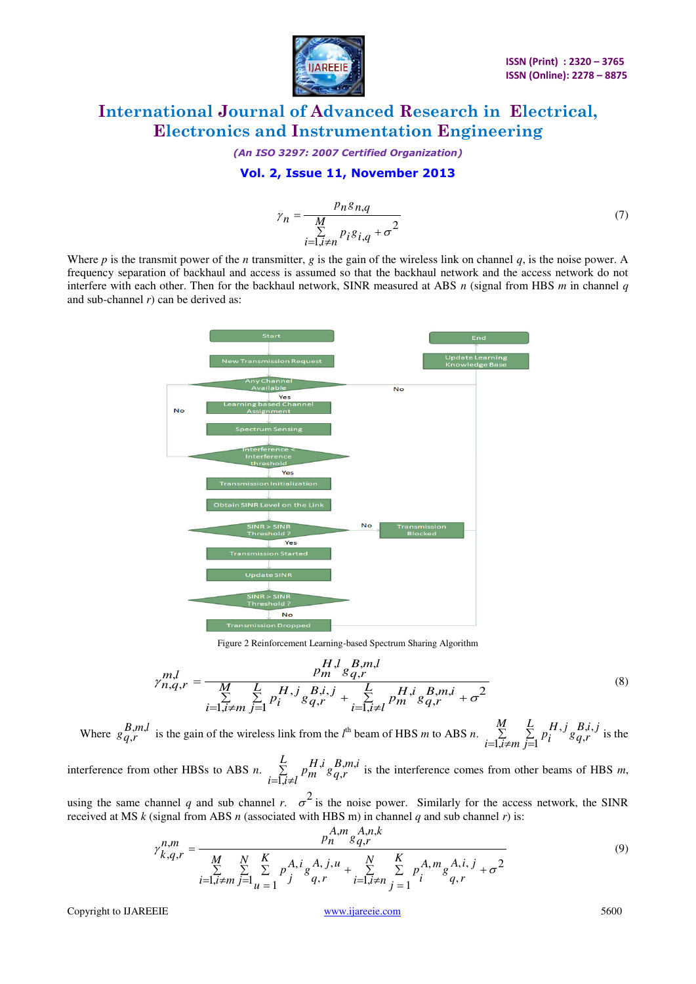

*(An ISO 3297: 2007 Certified Organization)* 

### **Vol. 2, Issue 11, November 2013**

$$
\gamma_n = \frac{p_n g_{n,q}}{\sum\limits_{i=1, i \neq n} p_i g_{i,q} + \sigma^2}
$$
(7)

Where *p* is the transmit power of the *n* transmitter, *g* is the gain of the wireless link on channel *q*, is the noise power. A frequency separation of backhaul and access is assumed so that the backhaul network and the access network do not interfere with each other. Then for the backhaul network, SINR measured at ABS *n* (signal from HBS *m* in channel *q* and sub-channel *r*) can be derived as:



Figure 2 Reinforcement Learning-based Spectrum Sharing Algorithm

$$
\gamma_{n,q,r}^{m,l} = \frac{p_m^{H,l} g_{q,r}^{B,m,l}}{\sum\limits_{i=1, i \neq m}^{K} \sum\limits_{j=1}^{L} p_i^{H,j} g_{q,r}^{B,i,j} + \sum\limits_{i=1, i \neq l}^{L} p_m^{H,i} g_{q,r}^{B,m,i} + \sigma^2}
$$
(8)

Where  $g_{q,r}^{B,m,l}$  $\sum_{i=1}^{n}$  is the gain of the wireless link from the  $l^{\text{th}}$  beam of HBS *m* to ABS *n*.  $=1, i\neq$ Σ Ξ *M*  $i=1,\overline{i} \neq m$ *L j*  $B,i,j$  $\frac{H,j}{g}g_{q,r}^{B,k}$ *i p*  $\overline{.1, i}$ ≠m  $\overline{j=1}$ ,, ,  $\int g_{a,r}^{B,i,j}$  is the

interference from other HBSs to ABS  $n$ .  $\Sigma$  $=\overline{1,i}$ *L*  $i = \overline{1, i} \neq l$ *B*,*m*,*i*  $\sum_{i=1,i\neq l}^{L} p_m^{H,i} g_{q,r}^{B,j}$ ,, ,  $i_{g}B_{a,r}^{B,m,i}$  is the interference comes from other beams of HBS *m*,

using the same channel *q* and sub channel *r*.  $\sigma^2$  is the noise power. Similarly for the access network, the SINR received at MS  $k$  (signal from ABS  $n$  (associated with HBS m) in channel  $q$  and sub channel  $r$ ) is:

$$
\gamma_{k,q,r}^{n,m} = \frac{p_n^{A,m} g_{q,r}^{A,n,k}}{\sum\limits_{i=1, i \neq m}^{M} \sum\limits_{j=1}^{N} \sum\limits_{u=1}^{K} p_j^{A,i} g_{q,r}^{A,j,u} + \sum\limits_{i=1, i \neq n}^{N} \sum\limits_{j=1}^{K} p_j^{A,m} g_{q,r}^{A,i,j} + \sigma^2}
$$
(9)

Copyright to IJAREEIE www.ijareeie.com 5600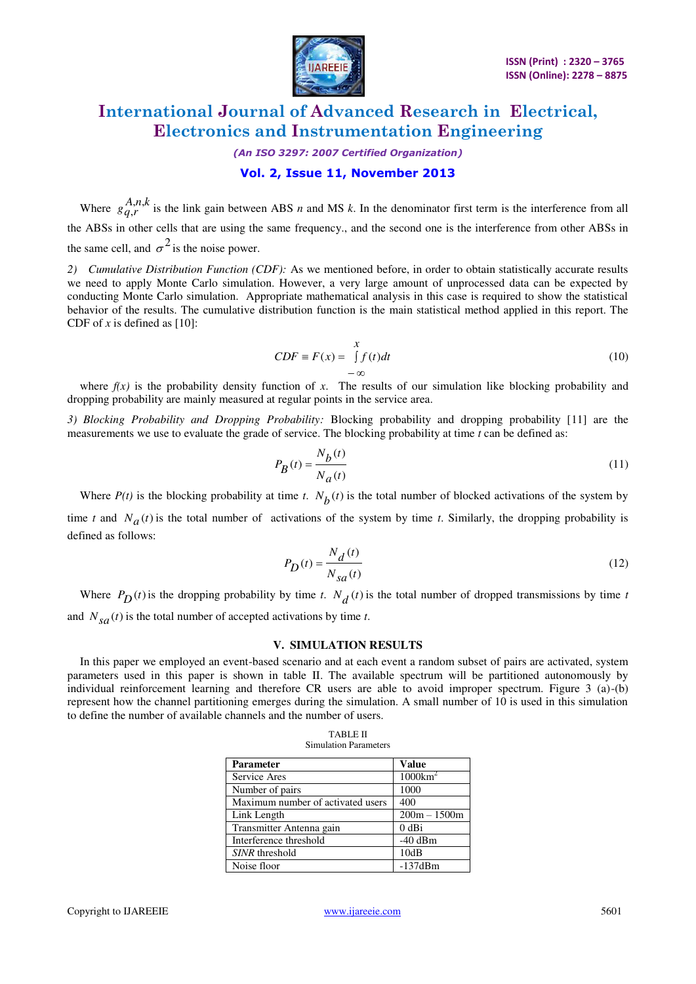

### *(An ISO 3297: 2007 Certified Organization)*

### **Vol. 2, Issue 11, November 2013**

Where  $g_{q,r}^{A,n,k}$  $i, h, \kappa$  is the link gain between ABS *n* and MS *k*. In the denominator first term is the interference from all the ABSs in other cells that are using the same frequency., and the second one is the interference from other ABSs in the same cell, and  $\sigma^2$  is the noise power.

*2) Cumulative Distribution Function (CDF):* As we mentioned before, in order to obtain statistically accurate results we need to apply Monte Carlo simulation. However, a very large amount of unprocessed data can be expected by conducting Monte Carlo simulation. Appropriate mathematical analysis in this case is required to show the statistical behavior of the results. The cumulative distribution function is the main statistical method applied in this report. The CDF of  $x$  is defined as [10]:

$$
CDF \equiv F(x) = \int_{-\infty}^{x} f(t)dt
$$
 (10)

where  $f(x)$  is the probability density function of x. The results of our simulation like blocking probability and dropping probability are mainly measured at regular points in the service area.

*3) Blocking Probability and Dropping Probability:* Blocking probability and dropping probability [11] are the measurements we use to evaluate the grade of service. The blocking probability at time *t* can be defined as:

$$
P_B(t) = \frac{N_b(t)}{N_a(t)}\tag{11}
$$

Where  $P(t)$  is the blocking probability at time *t*.  $N_b(t)$  is the total number of blocked activations of the system by time *t* and  $N_a(t)$  is the total number of activations of the system by time *t*. Similarly, the dropping probability is defined as follows:

$$
P_D(t) = \frac{N_d(t)}{N_{sa}(t)}
$$
\n(12)

Where  $P_D(t)$  is the dropping probability by time *t*.  $N_d(t)$  is the total number of dropped transmissions by time *t* and  $N_{sa}(t)$  is the total number of accepted activations by time *t*.

#### **V. SIMULATION RESULTS**

In this paper we employed an event-based scenario and at each event a random subset of pairs are activated, system parameters used in this paper is shown in table II. The available spectrum will be partitioned autonomously by individual reinforcement learning and therefore CR users are able to avoid improper spectrum. Figure 3 (a)-(b) represent how the channel partitioning emerges during the simulation. A small number of 10 is used in this simulation to define the number of available channels and the number of users.

| <b>TABLE II</b>              |  |  |  |  |
|------------------------------|--|--|--|--|
| <b>Simulation Parameters</b> |  |  |  |  |

| <b>Parameter</b>                  | <b>Value</b>       |
|-----------------------------------|--------------------|
| Service Ares                      | $1000 \text{km}^2$ |
| Number of pairs                   | 1000               |
| Maximum number of activated users | 400                |
| Link Length                       | $200m - 1500m$     |
| Transmitter Antenna gain          | $0$ dBi            |
| Interference threshold            | $-40$ dBm          |
| SINR threshold                    | 10dB               |
| Noise floor                       | $-137dBm$          |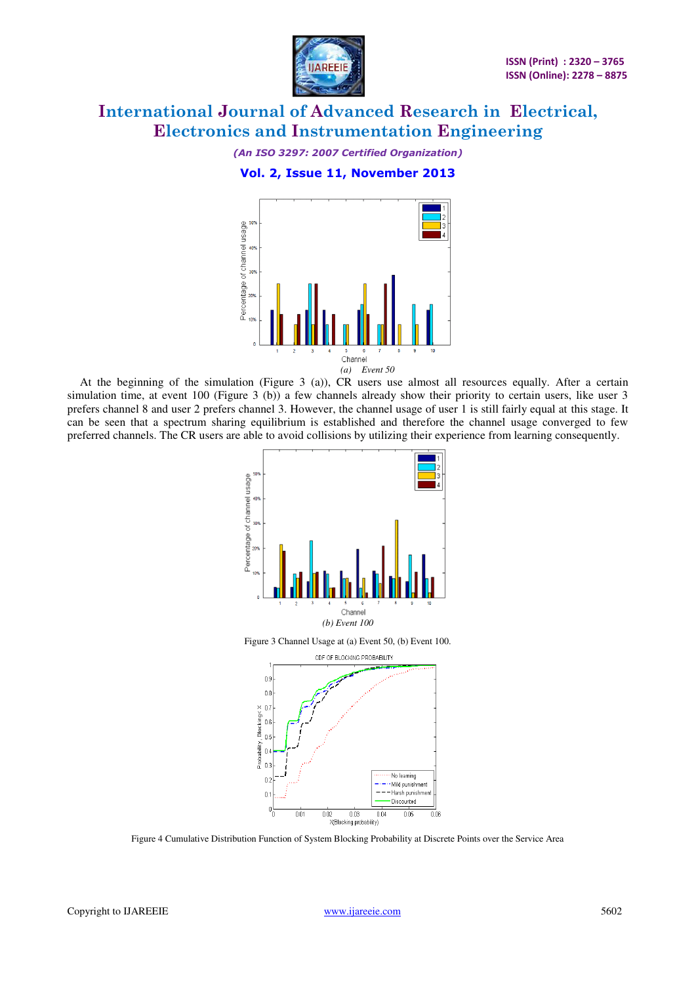

*(An ISO 3297: 2007 Certified Organization)*  **Vol. 2, Issue 11, November 2013** 



At the beginning of the simulation (Figure 3 (a)), CR users use almost all resources equally. After a certain simulation time, at event 100 (Figure 3 (b)) a few channels already show their priority to certain users, like user 3 prefers channel 8 and user 2 prefers channel 3. However, the channel usage of user 1 is still fairly equal at this stage. It can be seen that a spectrum sharing equilibrium is established and therefore the channel usage converged to few preferred channels. The CR users are able to avoid collisions by utilizing their experience from learning consequently.



Figure 3 Channel Usage at (a) Event 50, (b) Event 100.



Figure 4 Cumulative Distribution Function of System Blocking Probability at Discrete Points over the Service Area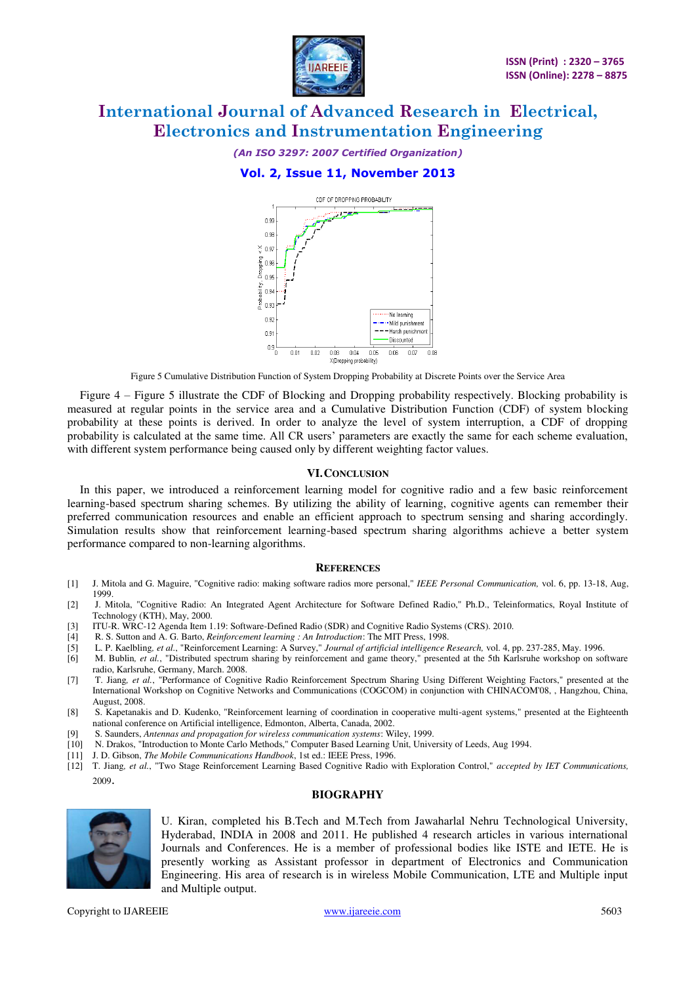

### *(An ISO 3297: 2007 Certified Organization)*  **Vol. 2, Issue 11, November 2013**

#### CDE OF DROPPING PROBABILITY n ge 0.98  $\times$  ns:  $\degree$  0.96 ă  $0.95$ bility. 0.94 n qr No leaming  $0.92$ . Mild punishment — — — Harsh punishmen<br>— — — Harsh punishmen n qi - Discounted  $0.9$  $\overline{0.07}$  $0.06$  $0.01$  $0.02$  $0.03$ 0.04  $0.05$  $0.08$ X(Dropping probability)

Figure 5 Cumulative Distribution Function of System Dropping Probability at Discrete Points over the Service Area

Figure 4 – Figure 5 illustrate the CDF of Blocking and Dropping probability respectively. Blocking probability is measured at regular points in the service area and a Cumulative Distribution Function (CDF) of system blocking probability at these points is derived. In order to analyze the level of system interruption, a CDF of dropping probability is calculated at the same time. All CR users' parameters are exactly the same for each scheme evaluation, with different system performance being caused only by different weighting factor values.

#### **VI.CONCLUSION**

In this paper, we introduced a reinforcement learning model for cognitive radio and a few basic reinforcement learning-based spectrum sharing schemes. By utilizing the ability of learning, cognitive agents can remember their preferred communication resources and enable an efficient approach to spectrum sensing and sharing accordingly. Simulation results show that reinforcement learning-based spectrum sharing algorithms achieve a better system performance compared to non-learning algorithms.

#### **REFERENCES**

- [1] J. Mitola and G. Maguire, "Cognitive radio: making software radios more personal," *IEEE Personal Communication,* vol. 6, pp. 13-18, Aug, 1999.
- [2] J. Mitola, "Cognitive Radio: An Integrated Agent Architecture for Software Defined Radio," Ph.D., Teleinformatics, Royal Institute of Technology (KTH), May, 2000.
- [3] ITU-R. WRC-12 Agenda Item 1.19: Software-Defined Radio (SDR) and Cognitive Radio Systems (CRS). 2010.
- [4] R. S. Sutton and A. G. Barto, *Reinforcement learning : An Introduction*: The MIT Press, 1998.
- [5] L. P. Kaelbling*, et al.*, "Reinforcement Learning: A Survey," *Journal of artificial intelligence Research,* vol. 4, pp. 237-285, May. 1996.
- [6] M. Bublin*, et al.*, "Distributed spectrum sharing by reinforcement and game theory," presented at the 5th Karlsruhe workshop on software radio, Karlsruhe, Germany, March. 2008.
- [7] T. Jiang*, et al.*, "Performance of Cognitive Radio Reinforcement Spectrum Sharing Using Different Weighting Factors," presented at the International Workshop on Cognitive Networks and Communications (COGCOM) in conjunction with CHINACOM'08, , Hangzhou, China, August, 2008.
- [8] S. Kapetanakis and D. Kudenko, "Reinforcement learning of coordination in cooperative multi-agent systems," presented at the Eighteenth national conference on Artificial intelligence, Edmonton, Alberta, Canada, 2002.
- [9] S. Saunders, *Antennas and propagation for wireless communication systems*: Wiley, 1999.
- [10] N. Drakos, "Introduction to Monte Carlo Methods," Computer Based Learning Unit, University of Leeds, Aug 1994.
- [11] J. D. Gibson, *The Mobile Communications Handbook*, 1st ed.: IEEE Press, 1996.
- [12] T. Jiang*, et al.*, "Two Stage Reinforcement Learning Based Cognitive Radio with Exploration Control," *accepted by IET Communications,*  <sup>2009</sup>.

#### **BIOGRAPHY**



U. Kiran, completed his B.Tech and M.Tech from Jawaharlal Nehru Technological University, Hyderabad, INDIA in 2008 and 2011. He published 4 research articles in various international Journals and Conferences. He is a member of professional bodies like ISTE and IETE. He is presently working as Assistant professor in department of Electronics and Communication Engineering. His area of research is in wireless Mobile Communication, LTE and Multiple input and Multiple output.